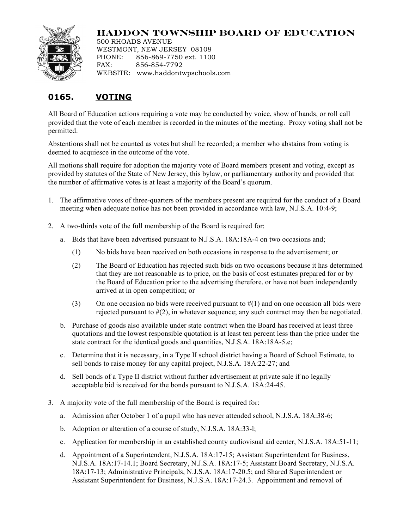

## **HADDON TOWNSHIP BOARD OF EDUCATION**

500 RHOADS AVENUE WESTMONT, NEW JERSEY 08108 PHONE: 856-869-7750 ext. 1100 FAX: 856-854-7792 WEBSITE: www.haddontwpschools.com

## **0165. VOTING**

All Board of Education actions requiring a vote may be conducted by voice, show of hands, or roll call provided that the vote of each member is recorded in the minutes of the meeting. Proxy voting shall not be permitted.

Abstentions shall not be counted as votes but shall be recorded; a member who abstains from voting is deemed to acquiesce in the outcome of the vote.

All motions shall require for adoption the majority vote of Board members present and voting, except as provided by statutes of the State of New Jersey, this bylaw, or parliamentary authority and provided that the number of affirmative votes is at least a majority of the Board's quorum.

- 1. The affirmative votes of three-quarters of the members present are required for the conduct of a Board meeting when adequate notice has not been provided in accordance with law, N.J.S.A. 10:4-9;
- 2. A two-thirds vote of the full membership of the Board is required for:
	- a. Bids that have been advertised pursuant to N.J.S.A. 18A:18A-4 on two occasions and;
		- (1) No bids have been received on both occasions in response to the advertisement; or
		- (2) The Board of Education has rejected such bids on two occasions because it has determined that they are not reasonable as to price, on the basis of cost estimates prepared for or by the Board of Education prior to the advertising therefore, or have not been independently arrived at in open competition; or
		- (3) On one occasion no bids were received pursuant to  $\#(1)$  and on one occasion all bids were rejected pursuant to  $\#(2)$ , in whatever sequence; any such contract may then be negotiated.
	- b. Purchase of goods also available under state contract when the Board has received at least three quotations and the lowest responsible quotation is at least ten percent less than the price under the state contract for the identical goods and quantities, N.J.S.A. 18A:18A-5.e;
	- c. Determine that it is necessary, in a Type II school district having a Board of School Estimate, to sell bonds to raise money for any capital project, N.J.S.A. 18A:22-27; and
	- d. Sell bonds of a Type II district without further advertisement at private sale if no legally acceptable bid is received for the bonds pursuant to N.J.S.A. 18A:24-45.
- 3. A majority vote of the full membership of the Board is required for:
	- a. Admission after October 1 of a pupil who has never attended school, N.J.S.A. 18A:38-6;
	- b. Adoption or alteration of a course of study, N.J.S.A. 18A:33-l;
	- c. Application for membership in an established county audiovisual aid center, N.J.S.A. 18A:51-11;
	- d. Appointment of a Superintendent, N.J.S.A. 18A:17-15; Assistant Superintendent for Business, N.J.S.A. 18A:17-14.1; Board Secretary, N.J.S.A. 18A:17-5; Assistant Board Secretary, N.J.S.A. 18A:17-13; Administrative Principals, N.J.S.A. 18A:17-20.5; and Shared Superintendent or Assistant Superintendent for Business, N.J.S.A. 18A:17-24.3. Appointment and removal of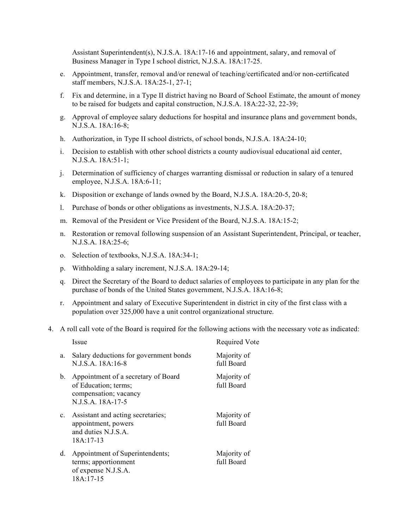Assistant Superintendent(s), N.J.S.A. 18A:17-16 and appointment, salary, and removal of Business Manager in Type I school district, N.J.S.A. 18A:17-25.

- e. Appointment, transfer, removal and/or renewal of teaching/certificated and/or non-certificated staff members, N.J.S.A. 18A:25-1, 27-1;
- f. Fix and determine, in a Type II district having no Board of School Estimate, the amount of money to be raised for budgets and capital construction, N.J.S.A. 18A:22-32, 22-39;
- g. Approval of employee salary deductions for hospital and insurance plans and government bonds, N.J.S.A. 18A:16-8;
- h. Authorization, in Type II school districts, of school bonds, N.J.S.A. 18A:24-10;
- i. Decision to establish with other school districts a county audiovisual educational aid center, N.J.S.A. 18A:51-1;
- j. Determination of sufficiency of charges warranting dismissal or reduction in salary of a tenured employee, N.J.S.A. 18A:6-11;
- k. Disposition or exchange of lands owned by the Board, N.J.S.A. 18A:20-5, 20-8;
- l. Purchase of bonds or other obligations as investments, N.J.S.A. 18A:20-37;
- m. Removal of the President or Vice President of the Board, N.J.S.A. 18A:15-2;
- n. Restoration or removal following suspension of an Assistant Superintendent, Principal, or teacher, N.J.S.A. 18A:25-6;
- o. Selection of textbooks, N.J.S.A. 18A:34-1;
- p. Withholding a salary increment, N.J.S.A. 18A:29-14;
- q. Direct the Secretary of the Board to deduct salaries of employees to participate in any plan for the purchase of bonds of the United States government, N.J.S.A. 18A:16-8;
- r. Appointment and salary of Executive Superintendent in district in city of the first class with a population over 325,000 have a unit control organizational structure.
- 4. A roll call vote of the Board is required for the following actions with the necessary vote as indicated:

|                | Issue                                                                                                     | <b>Required Vote</b>      |
|----------------|-----------------------------------------------------------------------------------------------------------|---------------------------|
| a.             | Salary deductions for government bonds<br>N.J.S.A. 18A:16-8                                               | Majority of<br>full Board |
| $b_{-}$        | Appointment of a secretary of Board<br>of Education; terms;<br>compensation; vacancy<br>N.J.S.A. 18A-17-5 | Majority of<br>full Board |
| $\mathbf{c}$ . | Assistant and acting secretaries;<br>appointment, powers<br>and duties N.J.S.A.<br>$18A:17-13$            | Majority of<br>full Board |
| d.             | Appointment of Superintendents;<br>terms; apportionment<br>of expense N.J.S.A.<br>18A:17-15               | Majority of<br>full Board |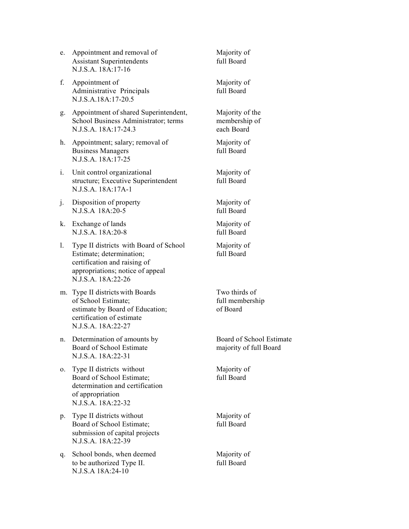- e. Appointment and removal of Majority of Assistant Superintendents full Board N.J.S.A. 18A:17-16
- f. Appointment of Majority of Administrative Principals full Board N.J.S.A.18A:17-20.5
- g. Appointment of shared Superintendent, Majority of the School Business Administrator; terms membership of N.J.S.A. 18A:17-24.3 each Board
- h. Appointment; salary; removal of Majority of Business Managers full Board N.J.S.A. 18A:17-25
- i. Unit control organizational Majority of structure; Executive Superintendent full Board N.J.S.A. 18A:17A-1
- j. Disposition of property Majority of N.J.S.A 18A:20-5 full Board
- k. Exchange of lands Majority of N.J.S.A. 18A:20-8 full Board
- l. Type II districts with Board of School Majority of<br>Estimate: determination: full Board Estimate; determination; certification and raising of appropriations; notice of appeal N.J.S.A. 18A:22-26
- m. Type II districts with Boards Two thirds of of School Estimate; full membership estimate by Board of Education; of Board certification of estimate N.J.S.A. 18A:22-27
- n. Determination of amounts by Board of School Estimate Board of School Estimate majority of full Board N.J.S.A. 18A:22-31
- o. Type II districts without Majority of Board of School Estimate: full Board determination and certification of appropriation N.J.S.A. 18A:22-32
- p. Type II districts without Majority of Board of School Estimate; full Board submission of capital projects N.J.S.A. 18A:22-39
- q. School bonds, when deemed Majority of to be authorized Type II. full Board N.J.S.A 18A:24-10
-